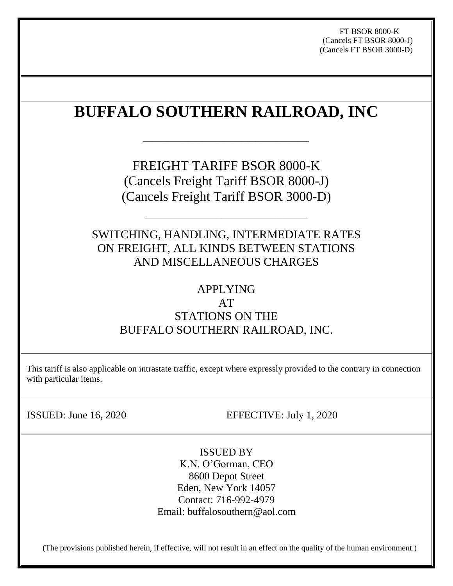FT BSOR 8000-K (Cancels FT BSOR 8000-J) (Cancels FT BSOR 3000-D)

# **BUFFALO SOUTHERN RAILROAD, INC**

\_\_\_\_\_\_\_\_\_\_\_\_\_\_\_\_\_\_\_\_\_\_\_\_\_\_\_\_\_\_\_\_\_\_\_\_\_\_\_\_\_\_\_\_\_\_\_\_\_\_\_\_\_\_\_\_

FREIGHT TARIFF BSOR 8000-K (Cancels Freight Tariff BSOR 8000-J) (Cancels Freight Tariff BSOR 3000-D)

SWITCHING, HANDLING, INTERMEDIATE RATES ON FREIGHT, ALL KINDS BETWEEN STATIONS AND MISCELLANEOUS CHARGES

\_\_\_\_\_\_\_\_\_\_\_\_\_\_\_\_\_\_\_\_\_\_\_\_\_\_\_\_\_\_\_\_\_\_\_\_\_\_\_\_\_\_\_\_\_\_\_\_\_\_\_\_\_\_\_

# APPLYING

# AT

# STATIONS ON THE BUFFALO SOUTHERN RAILROAD, INC.

This tariff is also applicable on intrastate traffic, except where expressly provided to the contrary in connection with particular items.

ISSUED: June 16, 2020 EFFECTIVE: July 1, 2020

ISSUED BY K.N. O'Gorman, CEO 8600 Depot Street Eden, New York 14057 Contact: 716-992-4979 Email: buffalosouthern@aol.com

(The provisions published herein, if effective, will not result in an effect on the quality of the human environment.)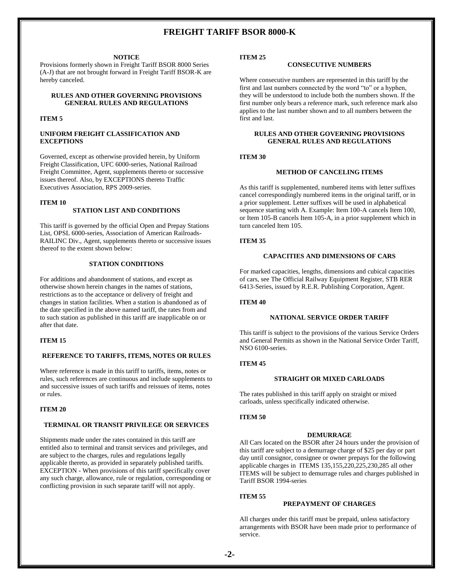#### **NOTICE**

Provisions formerly shown in Freight Tariff BSOR 8000 Series (A-J) that are not brought forward in Freight Tariff BSOR-K are hereby canceled.

#### **RULES AND OTHER GOVERNING PROVISIONS GENERAL RULES AND REGULATIONS**

### **ITEM 5**

### **UNIFORM FREIGHT CLASSIFICATION AND EXCEPTIONS**

Governed, except as otherwise provided herein, by Uniform Freight Classification, UFC 6000-series, National Railroad Freight Committee, Agent, supplements thereto or successive issues thereof. Also, by EXCEPTIONS thereto Traffic Executives Association, RPS 2009-series.

#### **ITEM 10**

## **STATION LIST AND CONDITIONS**

This tariff is governed by the official Open and Prepay Stations List, OPSL 6000-series, Association of American Railroads-RAILINC Div., Agent, supplements thereto or successive issues thereof to the extent shown below:

## **STATION CONDITIONS**

For additions and abandonment of stations, and except as otherwise shown herein changes in the names of stations, restrictions as to the acceptance or delivery of freight and changes in station facilities. When a station is abandoned as of the date specified in the above named tariff, the rates from and to such station as published in this tariff are inapplicable on or after that date.

#### **ITEM 15**

#### **REFERENCE TO TARIFFS, ITEMS, NOTES OR RULES**

Where reference is made in this tariff to tariffs, items, notes or rules, such references are continuous and include supplements to and successive issues of such tariffs and reissues of items, notes or rules.

#### **ITEM 20**

## **TERMINAL OR TRANSIT PRIVILEGE OR SERVICES**

Shipments made under the rates contained in this tariff are entitled also to terminal and transit services and privileges, and are subject to the charges, rules and regulations legally applicable thereto, as provided in separately published tariffs. EXCEPTION - When provisions of this tariff specifically cover any such charge, allowance, rule or regulation, corresponding or conflicting provision in such separate tariff will not apply.

#### **ITEM 25**

## **CONSECUTIVE NUMBERS**

Where consecutive numbers are represented in this tariff by the first and last numbers connected by the word "to" or a hyphen, they will be understood to include both the numbers shown. If the first number only bears a reference mark, such reference mark also applies to the last number shown and to all numbers between the first and last.

## **RULES AND OTHER GOVERNING PROVISIONS GENERAL RULES AND REGULATIONS**

#### **ITEM 30**

#### **METHOD OF CANCELING ITEMS**

As this tariff is supplemented, numbered items with letter suffixes cancel correspondingly numbered items in the original tariff, or in a prior supplement. Letter suffixes will be used in alphabetical sequence starting with A. Example: Item 100-A cancels Item 100, or Item 105-B cancels Item 105-A, in a prior supplement which in turn canceled Item 105.

#### **ITEM 35**

## **CAPACITIES AND DIMENSIONS OF CARS**

For marked capacities, lengths, dimensions and cubical capacities of cars, see The Official Railway Equipment Register, STB RER 6413-Series, issued by R.E.R. Publishing Corporation, Agent.

#### **ITEM 40**

## **NATIONAL SERVICE ORDER TARIFF**

This tariff is subject to the provisions of the various Service Orders and General Permits as shown in the National Service Order Tariff, NSO 6100-series.

#### **ITEM 45**

#### **STRAIGHT OR MIXED CARLOADS**

The rates published in this tariff apply on straight or mixed carloads, unless specifically indicated otherwise.

#### **ITEM 50**

#### **DEMURRAGE**

All Cars located on the BSOR after 24 hours under the provision of this tariff are subject to a demurrage charge of \$25 per day or part day until consignor, consignee or owner prepays for the following applicable charges in ITEMS 135,155,220,225,230,285 all other ITEMS will be subject to demurrage rules and charges published in Tariff BSOR 1994-series

#### **ITEM 55**

#### **PREPAYMENT OF CHARGES**

All charges under this tariff must be prepaid, unless satisfactory arrangements with BSOR have been made prior to performance of service.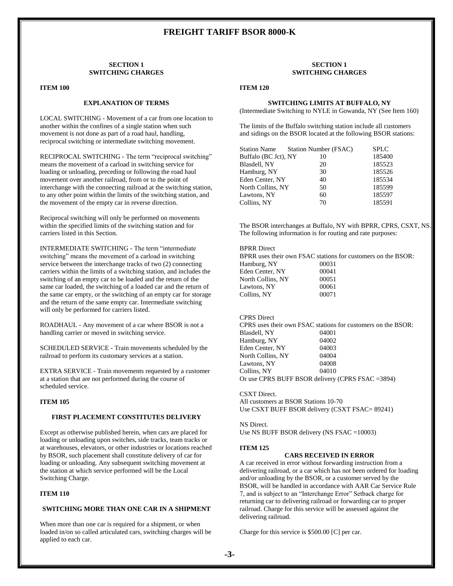#### **SECTION 1 SWITCHING CHARGES**

#### **ITEM 100**

### **EXPLANATION OF TERMS**

LOCAL SWITCHING - Movement of a car from one location to another within the confines of a single station when such movement is not done as part of a road haul, handling, reciprocal switching or intermediate switching movement.

RECIPROCAL SWITCHING - The term "reciprocal switching" means the movement of a carload in switching service for loading or unloading, preceding or following the road haul movement over another railroad, from or to the point of interchange with the connecting railroad at the switching station, to any other point within the limits of the switching station, and the movement of the empty car in reverse direction.

Reciprocal switching will only be performed on movements within the specified limits of the switching station and for carriers listed in this Section.

INTERMEDIATE SWITCHING - The term "intermediate switching" means the movement of a carload in switching service between the interchange tracks of two (2) connecting carriers within the limits of a switching station, and includes the switching of an empty car to be loaded and the return of the same car loaded, the switching of a loaded car and the return of the same car empty, or the switching of an empty car for storage and the return of the same empty car. Intermediate switching will only be performed for carriers listed.

ROADHAUL - Any movement of a car where BSOR is not a handling carrier or moved in switching service.

SCHEDULED SERVICE - Train movements scheduled by the railroad to perform its customary services at a station.

EXTRA SERVICE - Train movements requested by a customer at a station that are not performed during the course of scheduled service.

#### **ITEM 105**

#### **FIRST PLACEMENT CONSTITUTES DELIVERY**

Except as otherwise published herein, when cars are placed for loading or unloading upon switches, side tracks, team tracks or at warehouses, elevators, or other industries or locations reached by BSOR, such placement shall constitute delivery of car for loading or unloading. Any subsequent switching movement at the station at which service performed will be the Local Switching Charge.

#### **ITEM 110**

## **SWITCHING MORE THAN ONE CAR IN A SHIPMENT**

When more than one car is required for a shipment, or when loaded in/on so called articulated cars, switching charges will be applied to each car.

#### **SECTION 1 SWITCHING CHARGES**

#### **ITEM 120**

#### **SWITCHING LIMITS AT BUFFALO, NY**

(Intermediate Switching to NYLE in Gowanda, NY (See Item 160)

The limits of the Buffalo switching station include all customers and sidings on the BSOR located at the following BSOR stations:

| <b>Station Name</b>  | Station Number (FSAC) | <b>SPLC</b> |
|----------------------|-----------------------|-------------|
| Buffalo (BC Jct), NY | 10                    | 185400      |
| Blasdell, NY         | 20                    | 185523      |
| Hamburg, NY          | 30                    | 185526      |
| Eden Center, NY      | 40                    | 185534      |
| North Collins, NY    | 50                    | 185599      |
| Lawtons, NY          | 60                    | 185597      |
| Collins, NY          | 70                    | 185591      |

The BSOR interchanges at Buffalo, NY with BPRR, CPRS, CSXT, NS. The following information is for routing and rate purposes:

#### BPRR Direct

BPRR uses their own FSAC stations for customers on the BSOR: Hamburg, NY 00031 Eden Center, NY 00041 North Collins, NY 00051 Lawtons, NY 00061 Collins, NY 00071

#### CPRS Direct

CPRS uses their own FSAC stations for customers on the BSOR: Blasdell, NY 04001 Hamburg, NY 04002 Eden Center, NY 04003 North Collins, NY 04004 Lawtons, NY 04008 Collins, NY 04010 Or use CPRS BUFF BSOR delivery (CPRS FSAC =3894)

CSXT Direct.

All customers at BSOR Stations 10-70 Use CSXT BUFF BSOR delivery (CSXT FSAC= 89241)

NS Direct.

Use NS BUFF BSOR delivery (NS FSAC =10003)

#### **ITEM 125**

## **CARS RECEIVED IN ERROR**

A car received in error without forwarding instruction from a delivering railroad, or a car which has not been ordered for loading and/or unloading by the BSOR, or a customer served by the BSOR, will be handled in accordance with AAR Car Service Rule 7, and is subject to an "Interchange Error" Setback charge for returning car to delivering railroad or forwarding car to proper railroad. Charge for this service will be assessed against the delivering railroad.

Charge for this service is \$500.00 [C] per car.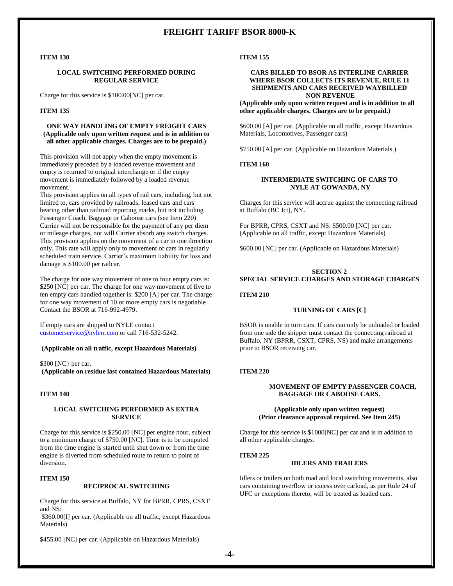## **ITEM 130**

#### **LOCAL SWITCHING PERFORMED DURING REGULAR SERVICE**

Charge for this service is \$100.00[NC] per car.

#### **ITEM 135**

## **ONE WAY HANDLING OF EMPTY FREIGHT CARS (Applicable only upon written request and is in addition to all other applicable charges. Charges are to be prepaid.)**

This provision will not apply when the empty movement is immediately preceded by a loaded revenue movement and empty is returned to original interchange or if the empty movement is immediately followed by a loaded revenue movement.

This provision applies on all types of rail cars, including, but not limited to, cars provided by railroads, leased cars and cars bearing other than railroad reporting marks, but not including Passenger Coach, Baggage or Caboose cars (see Item 220) Carrier will not be responsible for the payment of any per diem or mileage charges, nor will Carrier absorb any switch charges. This provision applies on the movement of a car in one direction only. This rate will apply only to movement of cars in regularly scheduled train service. Carrier's maximum liability for loss and damage is \$100.00 per railcar.

The charge for one way movement of one to four empty cars is: \$250 [NC] per car. The charge for one way movement of five to ten empty cars handled together is: \$200 [A] per car. The charge for one way movement of 10 or more empty cars is negotiable Contact the BSOR at 716-992-4979.

If empty cars are shipped to NYLE contact [customerservice@nylerr.com](mailto:customerservice@nylerr.com) or call 716-532-5242.

#### **(Applicable on all traffic, except Hazardous Materials)**

\$300 [NC} per car. **(Applicable on residue last contained Hazardous Materials)**

#### **ITEM 140**

#### **LOCAL SWITCHING PERFORMED AS EXTRA SERVICE**

Charge for this service is \$250.00 [NC] per engine hour, subject to a minimum charge of \$750.00 [NC]. Time is to be computed from the time engine is started until shut down or from the time engine is diverted from scheduled route to return to point of diversion.

#### **ITEM 150**

#### **RECIPROCAL SWITCHING**

Charge for this service at Buffalo, NY for BPRR, CPRS, CSXT and NS:

\$360.00[I] per car. (Applicable on all traffic, except Hazardous Materials)

\$455.00 [NC] per car. (Applicable on Hazardous Materials)

#### **ITEM 155**

#### **CARS BILLED TO BSOR AS INTERLINE CARRIER WHERE BSOR COLLECTS ITS REVENUE, RULE 11 SHIPMENTS AND CARS RECEIVED WAYBILLED NON REVENUE**

**(Applicable only upon written request and is in addition to all other applicable charges. Charges are to be prepaid.)**

\$600.00 [A] per car. (Applicable on all traffic, except Hazardous Materials, Locomotives, Passenger cars)

\$750.00 [A] per car. (Applicable on Hazardous Materials.)

#### **ITEM 160**

#### **INTERMEDIATE SWITCHING OF CARS TO NYLE AT GOWANDA, NY**

Charges for this service will accrue against the connecting railroad at Buffalo (BC Jct), NY.

For BPRR, CPRS, CSXT and NS: \$500.00 [NC] per car. (Applicable on all traffic, except Hazardous Materials)

\$600.00 [NC] per car. (Applicable on Hazardous Materials)

### **SECTION 2 SPECIAL SERVICE CHARGES AND STORAGE CHARGES**

#### **ITEM 210**

#### **TURNING OF CARS [C]**

BSOR is unable to turn cars. If cars can only be unloaded or loaded from one side the shipper must contact the connecting railroad at Buffalo, NY (BPRR, CSXT, CPRS, NS) and make arrangements prior to BSOR receiving car.

#### **ITEM 220**

#### **MOVEMENT OF EMPTY PASSENGER COACH, BAGGAGE OR CABOOSE CARS.**

#### **(Applicable only upon written request) (Prior clearance approval required. See Item 245)**

Charge for this service is \$1000[NC] per car and is in addition to all other applicable charges.

#### **ITEM 225**

#### **IDLERS AND TRAILERS**

Idlers or trailers on both road and local switching movements, also cars containing overflow or excess over carload, as per Rule 24 of UFC or exceptions thereto, will be treated as loaded cars.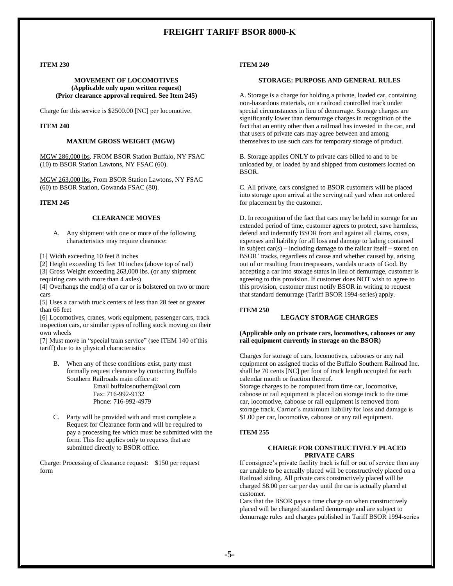#### **ITEM 230**

#### **MOVEMENT OF LOCOMOTIVES (Applicable only upon written request) (Prior clearance approval required. See Item 245)**

Charge for this service is \$2500.00 [NC] per locomotive.

#### **ITEM 240**

#### **MAXIUM GROSS WEIGHT (MGW)**

MGW 286,000 lbs. FROM BSOR Station Buffalo, NY FSAC (10) to BSOR Station Lawtons, NY FSAC (60).

MGW 263,000 lbs. From BSOR Station Lawtons, NY FSAC (60) to BSOR Station, Gowanda FSAC (80).

#### **ITEM 245**

#### **CLEARANCE MOVES**

- A. Any shipment with one or more of the following characteristics may require clearance:
- [1] Width exceeding 10 feet 8 inches
- [2] Height exceeding 15 feet 10 inches (above top of rail)
- [3] Gross Weight exceeding 263,000 lbs. (or any shipment requiring cars with more than 4 axles)
- [4] Overhangs the end(s) of a car or is bolstered on two or more cars

[5] Uses a car with truck centers of less than 28 feet or greater than 66 feet

[6] Locomotives, cranes, work equipment, passenger cars, track inspection cars, or similar types of rolling stock moving on their own wheels

[7] Must move in "special train service" (see ITEM 140 of this tariff) due to its physical characteristics

B. When any of these conditions exist, party must formally request clearance by contacting Buffalo Southern Railroads main office at:

Email buffalosouthern@aol.com Fax: 716-992-9132 Phone: 716-992-4979

C. Party will be provided with and must complete a Request for Clearance form and will be required to pay a processing fee which must be submitted with the form. This fee applies only to requests that are submitted directly to BSOR office.

Charge: Processing of clearance request: \$150 per request form

#### **ITEM 249**

#### **STORAGE: PURPOSE AND GENERAL RULES**

A. Storage is a charge for holding a private, loaded car, containing non-hazardous materials, on a railroad controlled track under special circumstances in lieu of demurrage. Storage charges are significantly lower than demurrage charges in recognition of the fact that an entity other than a railroad has invested in the car, and that users of private cars may agree between and among themselves to use such cars for temporary storage of product.

B. Storage applies ONLY to private cars billed to and to be unloaded by, or loaded by and shipped from customers located on BSOR.

C. All private, cars consigned to BSOR customers will be placed into storage upon arrival at the serving rail yard when not ordered for placement by the customer.

D. In recognition of the fact that cars may be held in storage for an extended period of time, customer agrees to protect, save harmless, defend and indemnify BSOR from and against all claims, costs, expenses and liability for all loss and damage to lading contained in subject car(s) – including damage to the railcar itself – stored on BSOR' tracks, regardless of cause and whether caused by, arising out of or resulting from trespassers, vandals or acts of God. By accepting a car into storage status in lieu of demurrage, customer is agreeing to this provision. If customer does NOT wish to agree to this provision, customer must notify BSOR in writing to request that standard demurrage (Tariff BSOR 1994-series) apply.

#### **ITEM 250**

## **LEGACY STORAGE CHARGES**

#### **(Applicable only on private cars, locomotives, cabooses or any rail equipment currently in storage on the BSOR)**

Charges for storage of cars, locomotives, cabooses or any rail equipment on assigned tracks of the Buffalo Southern Railroad Inc. shall be 70 cents [NC] per foot of track length occupied for each calendar month or fraction thereof.

Storage charges to be computed from time car, locomotive, caboose or rail equipment is placed on storage track to the time car, locomotive, caboose or rail equipment is removed from storage track. Carrier's maximum liability for loss and damage is \$1.00 per car, locomotive, caboose or any rail equipment.

#### **ITEM 255**

#### **CHARGE FOR CONSTRUCTIVELY PLACED PRIVATE CARS**

If consignee's private facility track is full or out of service then any car unable to be actually placed will be constructively placed on a Railroad siding. All private cars constructively placed will be charged \$8.00 per car per day until the car is actually placed at customer.

Cars that the BSOR pays a time charge on when constructively placed will be charged standard demurrage and are subject to demurrage rules and charges published in Tariff BSOR 1994-series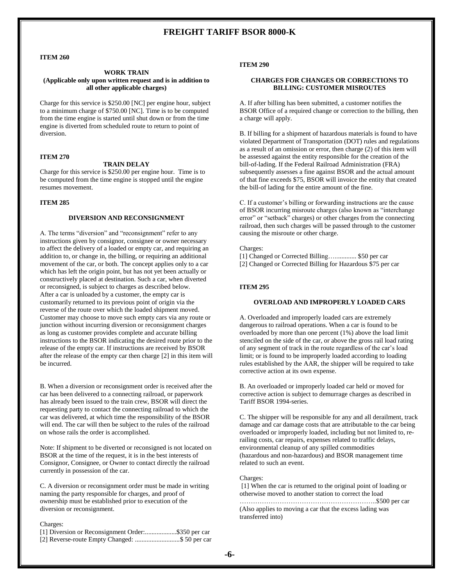#### **ITEM 260**

## **WORK TRAIN**

#### **(Applicable only upon written request and is in addition to all other applicable charges)**

Charge for this service is \$250.00 [NC] per engine hour, subject to a minimum charge of \$750.00 [NC]. Time is to be computed from the time engine is started until shut down or from the time engine is diverted from scheduled route to return to point of diversion.

## **ITEM 270**

#### **TRAIN DELAY**

Charge for this service is \$250.00 per engine hour. Time is to be computed from the time engine is stopped until the engine resumes movement.

#### **ITEM 285**

#### **DIVERSION AND RECONSIGNMENT**

A. The terms "diversion" and "reconsignment" refer to any instructions given by consignor, consignee or owner necessary to affect the delivery of a loaded or empty car, and requiring an addition to, or change in, the billing, or requiring an additional movement of the car, or both. The concept applies only to a car which has left the origin point, but has not yet been actually or constructively placed at destination. Such a car, when diverted or reconsigned, is subject to charges as described below. After a car is unloaded by a customer, the empty car is customarily returned to its previous point of origin via the reverse of the route over which the loaded shipment moved. Customer may choose to move such empty cars via any route or junction without incurring diversion or reconsignment charges as long as customer provides complete and accurate billing instructions to the BSOR indicating the desired route prior to the release of the empty car. If instructions are received by BSOR after the release of the empty car then charge [2] in this item will be incurred.

B. When a diversion or reconsignment order is received after the car has been delivered to a connecting railroad, or paperwork has already been issued to the train crew, BSOR will direct the requesting party to contact the connecting railroad to which the car was delivered, at which time the responsibility of the BSOR will end. The car will then be subject to the rules of the railroad on whose rails the order is accomplished.

Note: If shipment to be diverted or reconsigned is not located on BSOR at the time of the request, it is in the best interests of Consignor, Consignee, or Owner to contact directly the railroad currently in possession of the car.

C. A diversion or reconsignment order must be made in writing naming the party responsible for charges, and proof of ownership must be established prior to execution of the diversion or reconsignment.

#### Charges:

[1] Diversion or Reconsignment Order:...................\$350 per car [2] Reverse-route Empty Changed: ...........................\$ 50 per car

#### **ITEM 290**

#### **CHARGES FOR CHANGES OR CORRECTIONS TO BILLING: CUSTOMER MISROUTES**

A. If after billing has been submitted, a customer notifies the BSOR Office of a required change or correction to the billing, then a charge will apply.

B. If billing for a shipment of hazardous materials is found to have violated Department of Transportation (DOT) rules and regulations as a result of an omission or error, then charge (2) of this item will be assessed against the entity responsible for the creation of the bill-of-lading. If the Federal Railroad Administration (FRA) subsequently assesses a fine against BSOR and the actual amount of that fine exceeds \$75, BSOR will invoice the entity that created the bill-of lading for the entire amount of the fine.

C. If a customer's billing or forwarding instructions are the cause of BSOR incurring misroute charges (also known as "interchange error" or "setback" charges) or other charges from the connecting railroad, then such charges will be passed through to the customer causing the misroute or other charge.

Charges:

[1] Changed or Corrected Billing…............. \$50 per car

[2] Changed or Corrected Billing for Hazardous \$75 per car

#### **ITEM 295**

#### **OVERLOAD AND IMPROPERLY LOADED CARS**

A. Overloaded and improperly loaded cars are extremely dangerous to railroad operations. When a car is found to be overloaded by more than one percent (1%) above the load limit stenciled on the side of the car, or above the gross rail load rating of any segment of track in the route regardless of the car's load limit; or is found to be improperly loaded according to loading rules established by the AAR, the shipper will be required to take corrective action at its own expense.

B. An overloaded or improperly loaded car held or moved for corrective action is subject to demurrage charges as described in Tariff BSOR 1994-series.

C. The shipper will be responsible for any and all derailment, track damage and car damage costs that are attributable to the car being overloaded or improperly loaded, including but not limited to, rerailing costs, car repairs, expenses related to traffic delays, environmental cleanup of any spilled commodities (hazardous and non-hazardous) and BSOR management time related to such an event.

#### Charges:

[1] When the car is returned to the original point of loading or otherwise moved to another station to correct the load

……………………………………………………..\$500 per car (Also applies to moving a car that the excess lading was transferred into)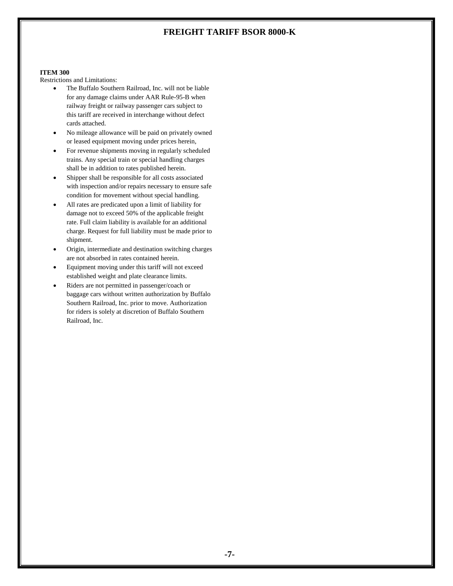#### **ITEM 300**

Restrictions and Limitations:

- The Buffalo Southern Railroad, Inc. will not be liable for any damage claims under AAR Rule-95-B when railway freight or railway passenger cars subject to this tariff are received in interchange without defect cards attached.
- No mileage allowance will be paid on privately owned or leased equipment moving under prices herein,
- For revenue shipments moving in regularly scheduled trains. Any special train or special handling charges shall be in addition to rates published herein.
- Shipper shall be responsible for all costs associated with inspection and/or repairs necessary to ensure safe condition for movement without special handling.
- All rates are predicated upon a limit of liability for damage not to exceed 50% of the applicable freight rate. Full claim liability is available for an additional charge. Request for full liability must be made prior to shipment.
- Origin, intermediate and destination switching charges are not absorbed in rates contained herein.
- Equipment moving under this tariff will not exceed established weight and plate clearance limits.
- Riders are not permitted in passenger/coach or baggage cars without written authorization by Buffalo Southern Railroad, Inc. prior to move. Authorization for riders is solely at discretion of Buffalo Southern Railroad, Inc.